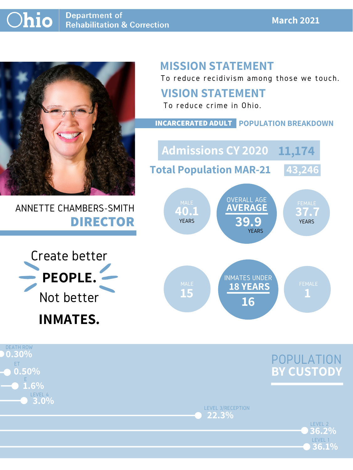#### **March 2021**



# ANNETTE CHAMBERS-SMITH **DIRECTOR**

# **MISSION STATEMENT**

To reduce recidivism among those we touch.



LEVEL 3/RECEPTION **22.3%**

> LEVEL 2 LEVEL 1 **36.1% 36.2%**

### **VISION STATEMENT**



**YEARS** 

YEARS **YEARS YEARS** 

DEATH ROW ET LEVEL 4 **0.30% 0.50% 3.0%** E **1.6%**

To reduce crime in Ohio.

**40.1 37.7 AVERAGE 39.9** OVERALL AGE MALE WAS UVERALL AUL WALE FEMALE **Admissions CY 2020 11,174 Total Population MAR-21 43,246**

#### **INCARCERATED ADULT POPULATION BREAKDOWN**

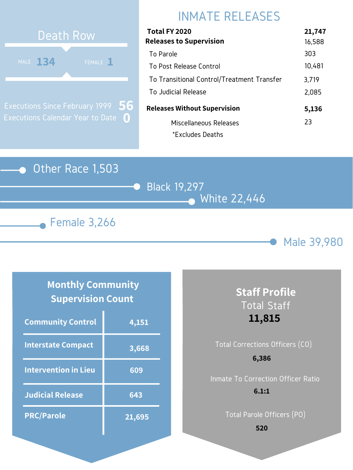### Other Race 1,503

Black 19,297 White 22,446





# INMATE RELEASES



Executions Since February 1999 Executions Calendar Year to Date **0 56**

### **Monthly Community Supervision Count**

| Total FY 2020                              | 21,747 |
|--------------------------------------------|--------|
| <b>Releases to Supervision</b>             | 16,588 |
| To Parole                                  | 303    |
| To Post Release Control                    | 10,481 |
| To Transitional Control/Treatment Transfer | 3,719  |
| To Judicial Release                        | 2,085  |
| <b>Releases Without Supervision</b>        | 5,136  |
| Miscellaneous Releases                     | 23     |
| *Excludes Deaths                           |        |

| <b>Community Control</b>    | 4,151  |
|-----------------------------|--------|
| <b>Interstate Compact</b>   | 3,668  |
| <b>Intervention in Lieu</b> | 609    |
| <b>Judicial Release</b>     | 643    |
| <b>PRC/Parole</b>           | 21,695 |

## **Staff Profile** Total Staff **11,815**

# Total Corrections Officers (CO) Inmate To Correction Officer Ratio **6,386 6.1:1**

Total Parole Officers (PO)

**520**